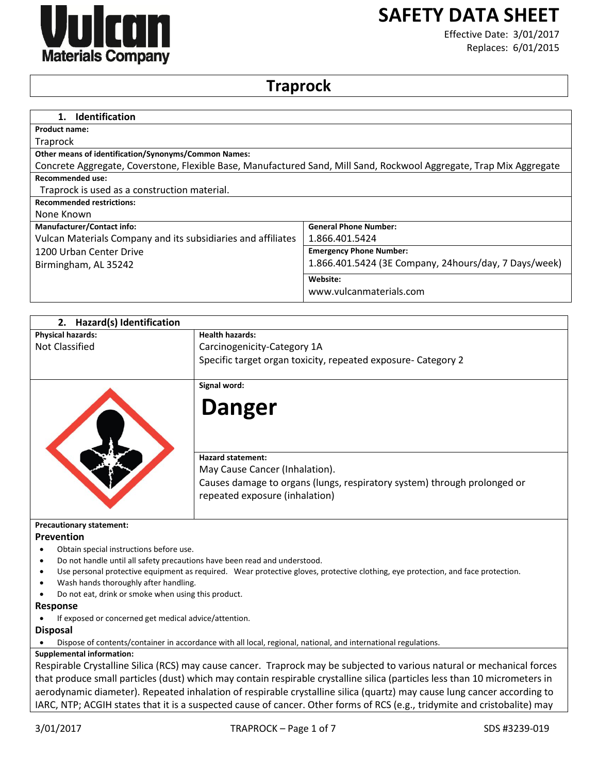

# **SAFETY DATA SHEET**

Effective Date: 3/01/2017 Replaces: 6/01/2015

# **Traprock**

| <b>Identification</b>                                                                                               |                                                       |
|---------------------------------------------------------------------------------------------------------------------|-------------------------------------------------------|
| <b>Product name:</b>                                                                                                |                                                       |
| <b>Traprock</b>                                                                                                     |                                                       |
| <b>Other means of identification/Synonyms/Common Names:</b>                                                         |                                                       |
| Concrete Aggregate, Coverstone, Flexible Base, Manufactured Sand, Mill Sand, Rockwool Aggregate, Trap Mix Aggregate |                                                       |
| <b>Recommended use:</b>                                                                                             |                                                       |
| Traprock is used as a construction material.                                                                        |                                                       |
| <b>Recommended restrictions:</b>                                                                                    |                                                       |
| None Known                                                                                                          |                                                       |
| <b>Manufacturer/Contact info:</b>                                                                                   | <b>General Phone Number:</b>                          |
| Vulcan Materials Company and its subsidiaries and affiliates                                                        | 1.866.401.5424                                        |
| 1200 Urban Center Drive                                                                                             | <b>Emergency Phone Number:</b>                        |
| Birmingham, AL 35242                                                                                                | 1.866.401.5424 (3E Company, 24hours/day, 7 Days/week) |
|                                                                                                                     | Website:                                              |
|                                                                                                                     | www.vulcanmaterials.com                               |

| 2. Hazard(s) Identification                   |                                                                                                                                                                                                                                                |
|-----------------------------------------------|------------------------------------------------------------------------------------------------------------------------------------------------------------------------------------------------------------------------------------------------|
| <b>Physical hazards:</b>                      | <b>Health hazards:</b>                                                                                                                                                                                                                         |
| <b>Not Classified</b>                         | Carcinogenicity-Category 1A                                                                                                                                                                                                                    |
|                                               | Specific target organ toxicity, repeated exposure- Category 2                                                                                                                                                                                  |
|                                               | Signal word:                                                                                                                                                                                                                                   |
|                                               | <b>Danger</b>                                                                                                                                                                                                                                  |
|                                               | <b>Hazard statement:</b><br>May Cause Cancer (Inhalation).                                                                                                                                                                                     |
|                                               | Causes damage to organs (lungs, respiratory system) through prolonged or<br>repeated exposure (inhalation)                                                                                                                                     |
| <b>Precautionary statement:</b><br>Prevention |                                                                                                                                                                                                                                                |
| Obtain special instructions before use.       |                                                                                                                                                                                                                                                |
|                                               | Do not handle until all safety precautions have been read and understood.                                                                                                                                                                      |
| Wash hands thoroughly after handling.         | Use personal protective equipment as required. Wear protective gloves, protective clothing, eye protection, and face protection.<br>Do not eat, drink or smoke when using this product.                                                        |
| Response                                      |                                                                                                                                                                                                                                                |
|                                               | If exposed or concerned get medical advice/attention.                                                                                                                                                                                          |
| <b>Disposal</b>                               |                                                                                                                                                                                                                                                |
|                                               | Dispose of contents/container in accordance with all local, regional, national, and international regulations.                                                                                                                                 |
| <b>Supplemental information:</b>              |                                                                                                                                                                                                                                                |
|                                               | Respirable Crystalline Silica (RCS) may cause cancer. Traprock may be subjected to various natural or mechanical forces                                                                                                                        |
|                                               |                                                                                                                                                                                                                                                |
|                                               | that produce small particles (dust) which may contain respirable crystalline silica (particles less than 10 micrometers in<br>religionalizzazioni Dependiciliale la controllazione della controllazione di controllazione di una concernazione |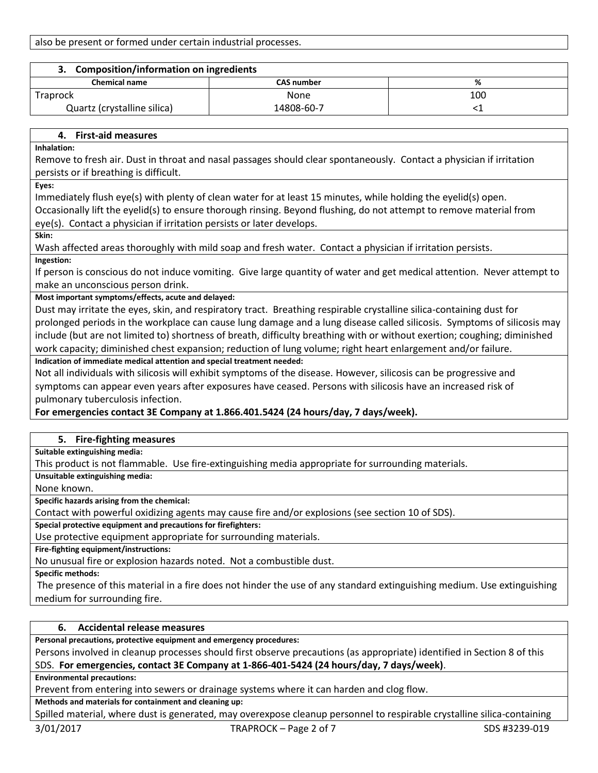also be present or formed under certain industrial processes.

| 3. Composition/information on ingredients |                   |     |
|-------------------------------------------|-------------------|-----|
| <b>Chemical name</b>                      | <b>CAS number</b> | ℅   |
| <b>Traprock</b>                           | None              | 100 |
| Quartz (crystalline silica)               | 14808-60-7        |     |

# **4. First-aid measures**

**Inhalation:**

Remove to fresh air. Dust in throat and nasal passages should clear spontaneously. Contact a physician if irritation persists or if breathing is difficult.

**Eyes:**

Immediately flush eye(s) with plenty of clean water for at least 15 minutes, while holding the eyelid(s) open.

Occasionally lift the eyelid(s) to ensure thorough rinsing. Beyond flushing, do not attempt to remove material from eye(s). Contact a physician if irritation persists or later develops.

**Skin:**

Wash affected areas thoroughly with mild soap and fresh water. Contact a physician if irritation persists. **Ingestion:**

If person is conscious do not induce vomiting. Give large quantity of water and get medical attention. Never attempt to make an unconscious person drink.

# **Most important symptoms/effects, acute and delayed:**

Dust may irritate the eyes, skin, and respiratory tract. Breathing respirable crystalline silica-containing dust for prolonged periods in the workplace can cause lung damage and a lung disease called silicosis. Symptoms of silicosis may include (but are not limited to) shortness of breath, difficulty breathing with or without exertion; coughing; diminished work capacity; diminished chest expansion; reduction of lung volume; right heart enlargement and/or failure.

# **Indication of immediate medical attention and special treatment needed:**

Not all individuals with silicosis will exhibit symptoms of the disease. However, silicosis can be progressive and symptoms can appear even years after exposures have ceased. Persons with silicosis have an increased risk of pulmonary tuberculosis infection.

# **For emergencies contact 3E Company at 1.866.401.5424 (24 hours/day, 7 days/week).**

# **5. Fire-fighting measures**

**Suitable extinguishing media:**

This product is not flammable. Use fire-extinguishing media appropriate for surrounding materials.

**Unsuitable extinguishing media:**

None known.

**Specific hazards arising from the chemical:**

Contact with powerful oxidizing agents may cause fire and/or explosions (see section 10 of SDS).

**Special protective equipment and precautions for firefighters:**

Use protective equipment appropriate for surrounding materials.

**Fire-fighting equipment/instructions:**

No unusual fire or explosion hazards noted. Not a combustible dust.

**Specific methods:**

The presence of this material in a fire does not hinder the use of any standard extinguishing medium. Use extinguishing medium for surrounding fire.

# **6. Accidental release measures**

**Personal precautions, protective equipment and emergency procedures:**

Persons involved in cleanup processes should first observe precautions (as appropriate) identified in Section 8 of this SDS. **For emergencies, contact 3E Company at 1-866-401-5424 (24 hours/day, 7 days/week)**.

**Environmental precautions:**

Prevent from entering into sewers or drainage systems where it can harden and clog flow.

**Methods and materials for containment and cleaning up:**

Spilled material, where dust is generated, may overexpose cleanup personnel to respirable crystalline silica-containing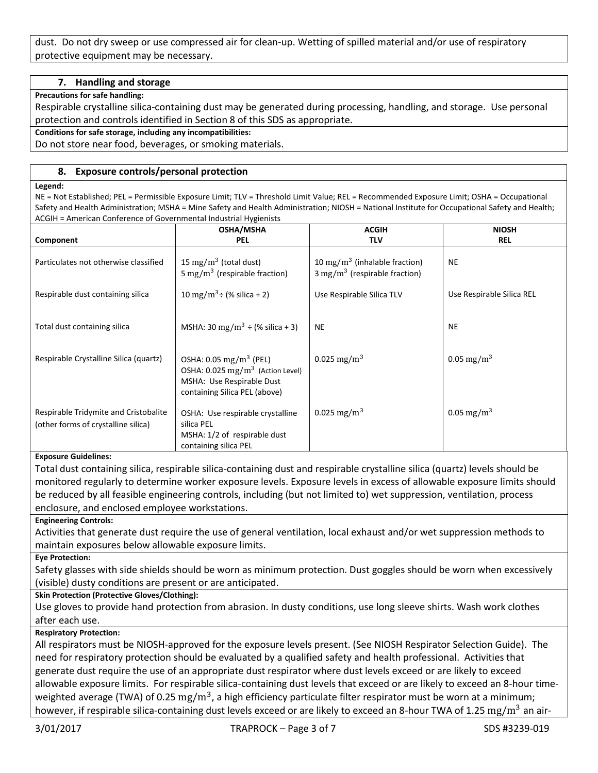dust. Do not dry sweep or use compressed air for clean-up. Wetting of spilled material and/or use of respiratory protective equipment may be necessary.

# **7. Handling and storage**

**Precautions for safe handling:**

Respirable crystalline silica-containing dust may be generated during processing, handling, and storage. Use personal protection and controls identified in Section 8 of this SDS as appropriate.

**Conditions for safe storage, including any incompatibilities:**

Do not store near food, beverages, or smoking materials.

# **8. Exposure controls/personal protection**

#### **Legend:**

NE = Not Established; PEL = Permissible Exposure Limit; TLV = Threshold Limit Value; REL = Recommended Exposure Limit; OSHA = Occupational Safety and Health Administration; MSHA = Mine Safety and Health Administration; NIOSH = National Institute for Occupational Safety and Health; ACGIH = American Conference of Governmental Industrial Hygienists

|                                        | <b>OSHA/MSHA</b>                                                               | <b>ACGIH</b>                                                                          | <b>NIOSH</b>              |
|----------------------------------------|--------------------------------------------------------------------------------|---------------------------------------------------------------------------------------|---------------------------|
| Component                              | <b>PEL</b>                                                                     | <b>TLV</b>                                                                            | <b>REL</b>                |
| Particulates not otherwise classified  | 15 mg/m <sup>3</sup> (total dust)<br>5 mg/m <sup>3</sup> (respirable fraction) | 10 mg/m <sup>3</sup> (inhalable fraction)<br>$3 \text{ mg/m}^3$ (respirable fraction) | <b>NE</b>                 |
| Respirable dust containing silica      | 10 mg/m <sup>3</sup> ÷ (% silica + 2)                                          | Use Respirable Silica TLV                                                             | Use Respirable Silica REL |
|                                        |                                                                                |                                                                                       |                           |
| Total dust containing silica           | MSHA: 30 mg/m <sup>3</sup> $\div$ (% silica + 3)                               | <b>NE</b>                                                                             | <b>NE</b>                 |
| Respirable Crystalline Silica (quartz) | OSHA: $0.05 \text{ mg/m}^3$ (PEL)                                              | 0.025 mg/m <sup>3</sup>                                                               | 0.05 mg/m <sup>3</sup>    |
|                                        | OSHA: 0.025 mg/m <sup>3</sup> (Action Level)                                   |                                                                                       |                           |
|                                        | MSHA: Use Respirable Dust<br>containing Silica PEL (above)                     |                                                                                       |                           |
| Respirable Tridymite and Cristobalite  | OSHA: Use respirable crystalline                                               | 0.025 mg/m <sup>3</sup>                                                               | 0.05 mg/m <sup>3</sup>    |
| (other forms of crystalline silica)    | silica PEL                                                                     |                                                                                       |                           |
|                                        | MSHA: 1/2 of respirable dust                                                   |                                                                                       |                           |
|                                        | containing silica PEL                                                          |                                                                                       |                           |

#### **Exposure Guidelines:**

Total dust containing silica, respirable silica-containing dust and respirable crystalline silica (quartz) levels should be monitored regularly to determine worker exposure levels. Exposure levels in excess of allowable exposure limits should be reduced by all feasible engineering controls, including (but not limited to) wet suppression, ventilation, process enclosure, and enclosed employee workstations.

#### **Engineering Controls:**

Activities that generate dust require the use of general ventilation, local exhaust and/or wet suppression methods to maintain exposures below allowable exposure limits.

**Eye Protection:**

Safety glasses with side shields should be worn as minimum protection. Dust goggles should be worn when excessively (visible) dusty conditions are present or are anticipated.

# **Skin Protection (Protective Gloves/Clothing):**

Use gloves to provide hand protection from abrasion. In dusty conditions, use long sleeve shirts. Wash work clothes after each use.

#### **Respiratory Protection:**

All respirators must be NIOSH-approved for the exposure levels present. (See NIOSH Respirator Selection Guide). The need for respiratory protection should be evaluated by a qualified safety and health professional. Activities that generate dust require the use of an appropriate dust respirator where dust levels exceed or are likely to exceed allowable exposure limits. For respirable silica-containing dust levels that exceed or are likely to exceed an 8-hour timeweighted average (TWA) of 0.25  $\rm mg/m^3$ , a high efficiency particulate filter respirator must be worn at a minimum; however, if respirable silica-containing dust levels exceed or are likely to exceed an 8-hour TWA of 1.25 mg/m<sup>3</sup> an air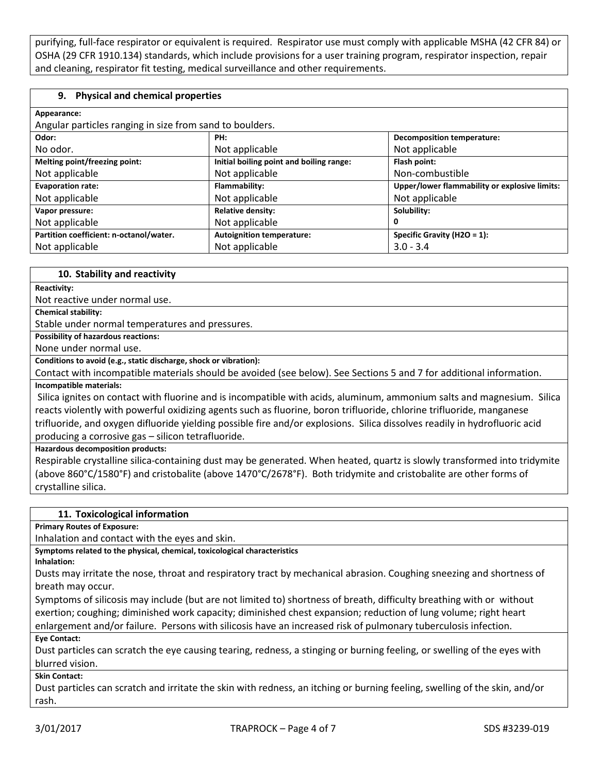purifying, full-face respirator or equivalent is required. Respirator use must comply with applicable MSHA (42 CFR 84) or OSHA (29 CFR 1910.134) standards, which include provisions for a user training program, respirator inspection, repair and cleaning, respirator fit testing, medical surveillance and other requirements.

#### **9. Physical and chemical properties**

| Appearance:                                              |                                          |                                               |
|----------------------------------------------------------|------------------------------------------|-----------------------------------------------|
| Angular particles ranging in size from sand to boulders. |                                          |                                               |
| Odor:                                                    | PH:                                      | <b>Decomposition temperature:</b>             |
| No odor.                                                 | Not applicable                           | Not applicable                                |
| Melting point/freezing point:                            | Initial boiling point and boiling range: | Flash point:                                  |
| Not applicable                                           | Not applicable                           | Non-combustible                               |
| <b>Evaporation rate:</b>                                 | Flammability:                            | Upper/lower flammability or explosive limits: |
| Not applicable                                           | Not applicable                           | Not applicable                                |
| Vapor pressure:                                          | <b>Relative density:</b>                 | Solubility:                                   |
| Not applicable                                           | Not applicable                           | 0                                             |
| Partition coefficient: n-octanol/water.                  | <b>Autoignition temperature:</b>         | Specific Gravity (H2O = $1$ ):                |
| Not applicable                                           | Not applicable                           | $3.0 - 3.4$                                   |

#### **10. Stability and reactivity**

**Reactivity:**

Not reactive under normal use.

**Chemical stability:**

Stable under normal temperatures and pressures.

**Possibility of hazardous reactions:**

None under normal use.

#### **Conditions to avoid (e.g., static discharge, shock or vibration):**

Contact with incompatible materials should be avoided (see below). See Sections 5 and 7 for additional information. **Incompatible materials:**

Silica ignites on contact with fluorine and is incompatible with acids, aluminum, ammonium salts and magnesium. Silica reacts violently with powerful oxidizing agents such as fluorine, boron trifluoride, chlorine trifluoride, manganese trifluoride, and oxygen difluoride yielding possible fire and/or explosions. Silica dissolves readily in hydrofluoric acid producing a corrosive gas – silicon tetrafluoride.

**Hazardous decomposition products:**

Respirable crystalline silica-containing dust may be generated. When heated, quartz is slowly transformed into tridymite (above 860°C/1580°F) and cristobalite (above 1470°C/2678°F). Both tridymite and cristobalite are other forms of crystalline silica.

| 11. Toxicological information                                                                                        |
|----------------------------------------------------------------------------------------------------------------------|
| <b>Primary Routes of Exposure:</b>                                                                                   |
| Inhalation and contact with the eyes and skin.                                                                       |
| Symptoms related to the physical, chemical, toxicological characteristics                                            |
| Inhalation:                                                                                                          |
| Dusts may irritate the nose, throat and respiratory tract by mechanical abrasion. Coughing sneezing and shortness of |

breath may occur.

Symptoms of silicosis may include (but are not limited to) shortness of breath, difficulty breathing with or without exertion; coughing; diminished work capacity; diminished chest expansion; reduction of lung volume; right heart enlargement and/or failure. Persons with silicosis have an increased risk of pulmonary tuberculosis infection.

**Eye Contact:**

Dust particles can scratch the eye causing tearing, redness, a stinging or burning feeling, or swelling of the eyes with blurred vision.

**Skin Contact:**

Dust particles can scratch and irritate the skin with redness, an itching or burning feeling, swelling of the skin, and/or rash.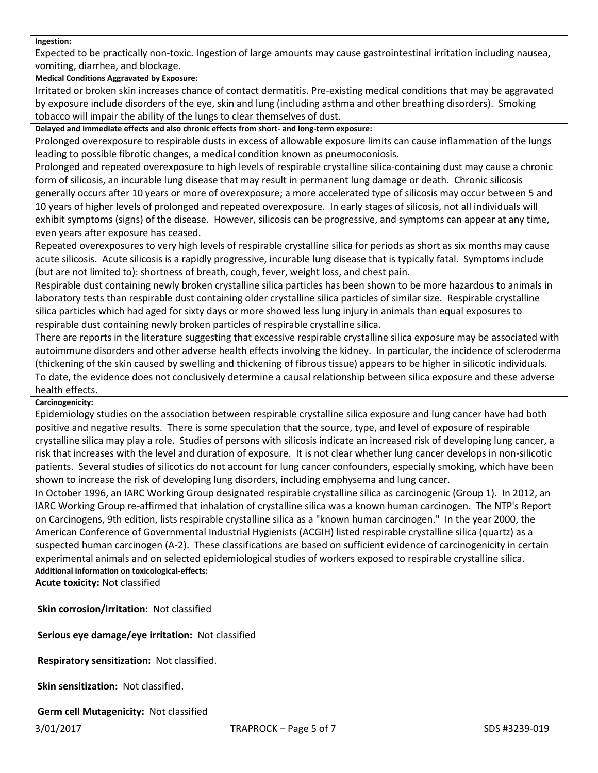#### **Ingestion:**

Expected to be practically non-toxic. Ingestion of large amounts may cause gastrointestinal irritation including nausea, vomiting, diarrhea, and blockage.

# **Medical Conditions Aggravated by Exposure:**

Irritated or broken skin increases chance of contact dermatitis. Pre-existing medical conditions that may be aggravated by exposure include disorders of the eye, skin and lung (including asthma and other breathing disorders). Smoking tobacco will impair the ability of the lungs to clear themselves of dust.

**Delayed and immediate effects and also chronic effects from short- and long-term exposure:**

Prolonged overexposure to respirable dusts in excess of allowable exposure limits can cause inflammation of the lungs leading to possible fibrotic changes, a medical condition known as pneumoconiosis.

Prolonged and repeated overexposure to high levels of respirable crystalline silica-containing dust may cause a chronic form of silicosis, an incurable lung disease that may result in permanent lung damage or death. Chronic silicosis generally occurs after 10 years or more of overexposure; a more accelerated type of silicosis may occur between 5 and 10 years of higher levels of prolonged and repeated overexposure. In early stages of silicosis, not all individuals will exhibit symptoms (signs) of the disease. However, silicosis can be progressive, and symptoms can appear at any time, even years after exposure has ceased.

Repeated overexposures to very high levels of respirable crystalline silica for periods as short as six months may cause acute silicosis. Acute silicosis is a rapidly progressive, incurable lung disease that is typically fatal. Symptoms include (but are not limited to): shortness of breath, cough, fever, weight loss, and chest pain.

Respirable dust containing newly broken crystalline silica particles has been shown to be more hazardous to animals in laboratory tests than respirable dust containing older crystalline silica particles of similar size. Respirable crystalline silica particles which had aged for sixty days or more showed less lung injury in animals than equal exposures to respirable dust containing newly broken particles of respirable crystalline silica.

There are reports in the literature suggesting that excessive respirable crystalline silica exposure may be associated with autoimmune disorders and other adverse health effects involving the kidney. In particular, the incidence of scleroderma (thickening of the skin caused by swelling and thickening of fibrous tissue) appears to be higher in silicotic individuals. To date, the evidence does not conclusively determine a causal relationship between silica exposure and these adverse health effects.

#### **Carcinogenicity:**

Epidemiology studies on the association between respirable crystalline silica exposure and lung cancer have had both positive and negative results. There is some speculation that the source, type, and level of exposure of respirable crystalline silica may play a role. Studies of persons with silicosis indicate an increased risk of developing lung cancer, a risk that increases with the level and duration of exposure. It is not clear whether lung cancer develops in non-silicotic patients. Several studies of silicotics do not account for lung cancer confounders, especially smoking, which have been shown to increase the risk of developing lung disorders, including emphysema and lung cancer.

In October 1996, an IARC Working Group designated respirable crystalline silica as carcinogenic (Group 1). In 2012, an IARC Working Group re-affirmed that inhalation of crystalline silica was a known human carcinogen. The NTP's Report on Carcinogens, 9th edition, lists respirable crystalline silica as a "known human carcinogen." In the year 2000, the American Conference of Governmental Industrial Hygienists (ACGIH) listed respirable crystalline silica (quartz) as a suspected human carcinogen (A-2). These classifications are based on sufficient evidence of carcinogenicity in certain experimental animals and on selected epidemiological studies of workers exposed to respirable crystalline silica.

**Additional information on toxicological-effects: Acute toxicity:** Not classified

**Skin corrosion/irritation:** Not classified

**Serious eye damage/eye irritation:** Not classified

**Respiratory sensitization:** Not classified.

**Skin sensitization:** Not classified.

**Germ cell Mutagenicity:** Not classified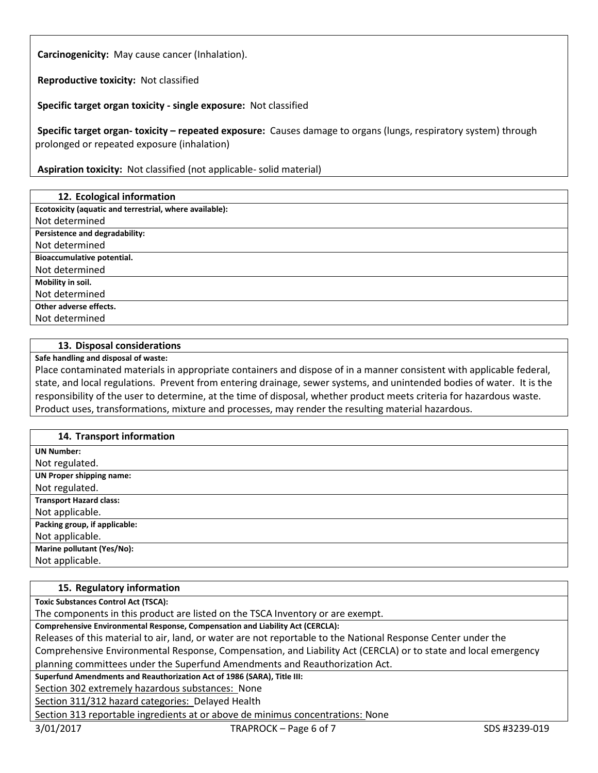**Carcinogenicity:** May cause cancer (Inhalation).

**Reproductive toxicity:** Not classified

**Specific target organ toxicity - single exposure:** Not classified

**Specific target organ- toxicity – repeated exposure:** Causes damage to organs (lungs, respiratory system) through prolonged or repeated exposure (inhalation)

**Aspiration toxicity:** Not classified (not applicable- solid material)

#### **12. Ecological information**

**Ecotoxicity (aquatic and terrestrial, where available):**

Not determined **Persistence and degradability:**

Not determined

**Bioaccumulative potential.**

Not determined

**Mobility in soil.**

Not determined

**Other adverse effects.**

Not determined

#### **13. Disposal considerations**

**Safe handling and disposal of waste:**

Place contaminated materials in appropriate containers and dispose of in a manner consistent with applicable federal, state, and local regulations. Prevent from entering drainage, sewer systems, and unintended bodies of water. It is the responsibility of the user to determine, at the time of disposal, whether product meets criteria for hazardous waste. Product uses, transformations, mixture and processes, may render the resulting material hazardous.

#### **14. Transport information**

| 27.1191090111101110100111       |
|---------------------------------|
| <b>UN Number:</b>               |
| Not regulated.                  |
| <b>UN Proper shipping name:</b> |
| Not regulated.                  |
| <b>Transport Hazard class:</b>  |
| Not applicable.                 |
| Packing group, if applicable:   |
| Not applicable.                 |
| Marine pollutant (Yes/No):      |
| Not applicable.                 |

#### **15. Regulatory information**

**Toxic Substances Control Act (TSCA):**

The components in this product are listed on the TSCA Inventory or are exempt.

**Comprehensive Environmental Response, Compensation and Liability Act (CERCLA):**

Releases of this material to air, land, or water are not reportable to the National Response Center under the

Comprehensive Environmental Response, Compensation, and Liability Act (CERCLA) or to state and local emergency planning committees under the Superfund Amendments and Reauthorization Act.

**Superfund Amendments and Reauthorization Act of 1986 (SARA), Title III:**

Section 302 extremely hazardous substances: None

Section 311/312 hazard categories: Delayed Health

Section 313 reportable ingredients at or above de minimus concentrations: None